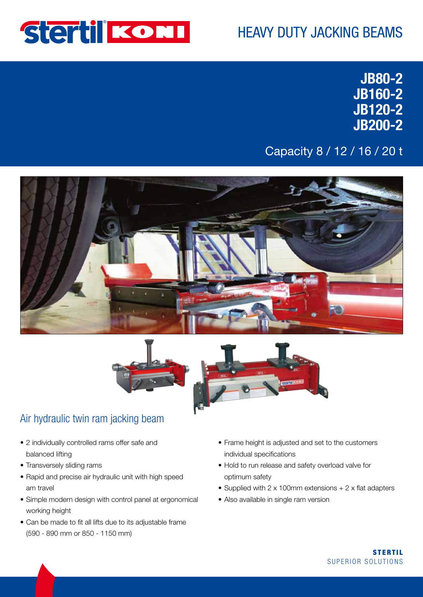

# HEAVY DUTY JACKING BEAMS

JB80-2 JB160-2 JB120-2 JB200-2

### Capacity 8 / 12 / 16 / 20 t





#### Air hydraulic twin ram jacking beam

- 2 individually controlled rams offer safe and balanced lifting
- Transversely sliding rams
- Rapid and precise air hydraulic unit with high speed am travel
- Simple modern design with control panel at ergonomical working height
- Can be made to fit all lifts due to its adjustable frame (590 - 890 mm or 850 - 1150 mm)
- Frame height is adjusted and set to the customers individual specifications
- Hold to run release and safety overload valve for optimum safety
- Supplied with 2 x 100mm extensions + 2 x flat adapters
- Also available in single ram version